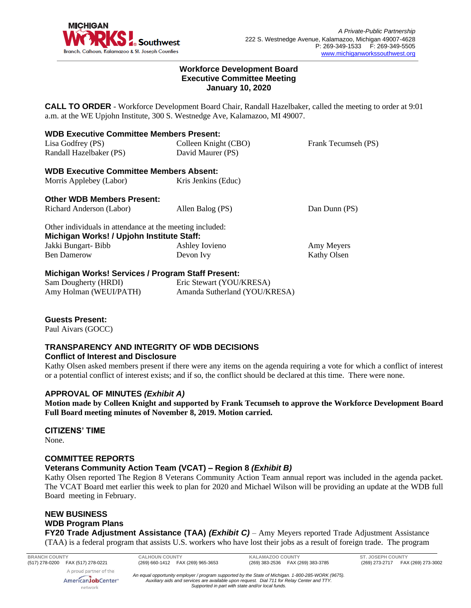

#### **Workforce Development Board Executive Committee Meeting January 10, 2020**

**CALL TO ORDER** - Workforce Development Board Chair, Randall Hazelbaker, called the meeting to order at 9:01 a.m. at the WE Upjohn Institute, 300 S. Westnedge Ave, Kalamazoo, MI 49007.

| <b>WDB Executive Committee Members Present:</b>          |                                                            |                     |
|----------------------------------------------------------|------------------------------------------------------------|---------------------|
| Lisa Godfrey (PS)                                        | Colleen Knight (CBO)                                       | Frank Tecumseh (PS) |
| Randall Hazelbaker (PS)                                  | David Maurer (PS)                                          |                     |
| <b>WDB Executive Committee Members Absent:</b>           |                                                            |                     |
| Morris Applebey (Labor)                                  | Kris Jenkins (Educ)                                        |                     |
| <b>Other WDB Members Present:</b>                        |                                                            |                     |
| Richard Anderson (Labor)                                 | Allen Balog (PS)                                           | Dan Dunn (PS)       |
| Other individuals in attendance at the meeting included: |                                                            |                     |
| Michigan Works! / Upjohn Institute Staff:                |                                                            |                     |
| Jakki Bungart-Bibb                                       | Ashley Iovieno                                             | Amy Meyers          |
| <b>Ben Damerow</b>                                       | Devon Ivy                                                  | Kathy Olsen         |
| Michigan Works! Services / Program Staff Present:        |                                                            |                     |
|                                                          | $\mathbb{R}$ 1 (TIDD) $\mathbb{R}$ . $\mathbb{R}$ (Table ) |                     |

| Sam Dougherty (HRDI)   | Eric Stewart (YOU/KRESA)      |
|------------------------|-------------------------------|
| Amy Holman (WEUI/PATH) | Amanda Sutherland (YOU/KRESA) |

## **Guests Present:**

Paul Aivars (GOCC)

#### **TRANSPARENCY AND INTEGRITY OF WDB DECISIONS Conflict of Interest and Disclosure**

Kathy Olsen asked members present if there were any items on the agenda requiring a vote for which a conflict of interest or a potential conflict of interest exists; and if so, the conflict should be declared at this time. There were none.

## **APPROVAL OF MINUTES** *(Exhibit A)*

**Motion made by Colleen Knight and supported by Frank Tecumseh to approve the Workforce Development Board Full Board meeting minutes of November 8, 2019. Motion carried.** 

## **CITIZENS' TIME**

None.

## **COMMITTEE REPORTS**

## **Veterans Community Action Team (VCAT) – Region 8** *(Exhibit B)*

Kathy Olsen reported The Region 8 Veterans Community Action Team annual report was included in the agenda packet. The VCAT Board met earlier this week to plan for 2020 and Michael Wilson will be providing an update at the WDB full Board meeting in February.

# **NEW BUSINESS WDB Program Plans**

network

**FY20 Trade Adjustment Assistance (TAA)** *(Exhibit C)* – Amy Meyers reported Trade Adjustment Assistance (TAA) is a federal program that assists U.S. workers who have lost their jobs as a result of foreign trade. The program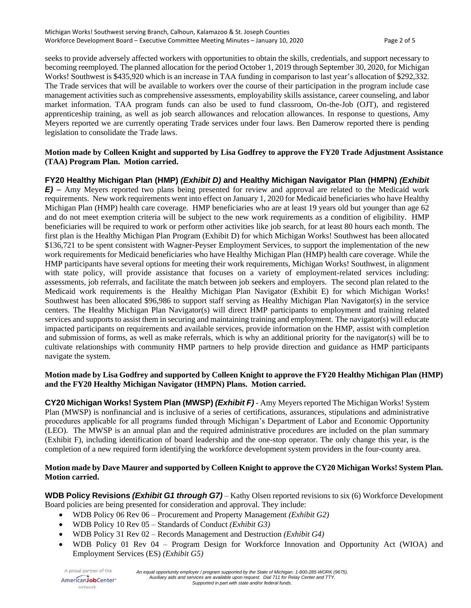seeks to provide adversely affected workers with opportunities to obtain the skills, credentials, and support necessary to becoming reemployed. The planned allocation for the period October 1, 2019 through September 30, 2020, for Michigan Works! Southwest is \$435,920 which is an increase in TAA funding in comparison to last year's allocation of \$292,332. The Trade services that will be available to workers over the course of their participation in the program include case management activities such as comprehensive assessments, employability skills assistance, career counseling, and labor market information. TAA program funds can also be used to fund classroom, On-the-Job (OJT), and registered apprenticeship training, as well as job search allowances and relocation allowances. In response to questions, Amy Meyers reported we are currently operating Trade services under four laws. Ben Damerow reported there is pending legislation to consolidate the Trade laws.

### **Motion made by Colleen Knight and supported by Lisa Godfrey to approve the FY20 Trade Adjustment Assistance (TAA) Program Plan. Motion carried.**

## **FY20 Healthy Michigan Plan (HMP)** *(Exhibit D)* **and Healthy Michigan Navigator Plan (HMPN)** *(Exhibit*

*E)* – Amy Meyers reported two plans being presented for review and approval are related to the Medicaid work requirements. New work requirements went into effect on January 1, 2020 for Medicaid beneficiaries who have Healthy Michigan Plan (HMP) health care coverage. HMP beneficiaries who are at least 19 years old but younger than age 62 and do not meet exemption criteria will be subject to the new work requirements as a condition of eligibility. HMP beneficiaries will be required to work or perform other activities like job search, for at least 80 hours each month. The first plan is the Healthy Michigan Plan Program (Exhibit D) for which Michigan Works! Southwest has been allocated \$136,721 to be spent consistent with Wagner-Peyser Employment Services, to support the implementation of the new work requirements for Medicaid beneficiaries who have Healthy Michigan Plan (HMP) health care coverage. While the HMP participants have several options for meeting their work requirements, Michigan Works! Southwest, in alignment with state policy, will provide assistance that focuses on a variety of employment-related services including: assessments, job referrals, and facilitate the match between job seekers and employers. The second plan related to the Medicaid work requirements is the Healthy Michigan Plan Navigator (Exhibit E) for which Michigan Works! Southwest has been allocated \$96,986 to support staff serving as Healthy Michigan Plan Navigator(s) in the service centers. The Healthy Michigan Plan Navigator(s) will direct HMP participants to employment and training related services and supports to assist them in securing and maintaining training and employment. The navigator(s) will educate impacted participants on requirements and available services, provide information on the HMP, assist with completion and submission of forms, as well as make referrals, which is why an additional priority for the navigator(s) will be to cultivate relationships with community HMP partners to help provide direction and guidance as HMP participants navigate the system.

#### **Motion made by Lisa Godfrey and supported by Colleen Knight to approve the FY20 Healthy Michigan Plan (HMP) and the FY20 Healthy Michigan Navigator (HMPN) Plans. Motion carried.**

**CY20 Michigan Works! System Plan (MWSP)** *(Exhibit F)* - Amy Meyers reported The Michigan Works! System Plan (MWSP) is nonfinancial and is inclusive of a series of certifications, assurances, stipulations and administrative procedures applicable for all programs funded through Michigan's Department of Labor and Economic Opportunity (LEO). The MWSP is an annual plan and the required administrative procedures are included on the plan summary (Exhibit F), including identification of board leadership and the one-stop operator. The only change this year, is the completion of a new required form identifying the workforce development system providers in the four-county area.

#### **Motion made by Dave Maurer and supported by Colleen Knight to approve the CY20 Michigan Works! System Plan. Motion carried.**

**WDB Policy Revisions** *(Exhibit G1 through G7)* – Kathy Olsen reported revisions to six (6) Workforce Development Board policies are being presented for consideration and approval. They include:

- WDB Policy 06 Rev 06 Procurement and Property Management *(Exhibit G2)*
- WDB Policy 10 Rev 05 Standards of Conduct *(Exhibit G3)*
- WDB Policy 31 Rev 02 Records Management and Destruction *(Exhibit G4)*
- WDB Policy 01 Rev 04 Program Design for Workforce Innovation and Opportunity Act (WIOA) and Employment Services (ES) *(Exhibit G5)*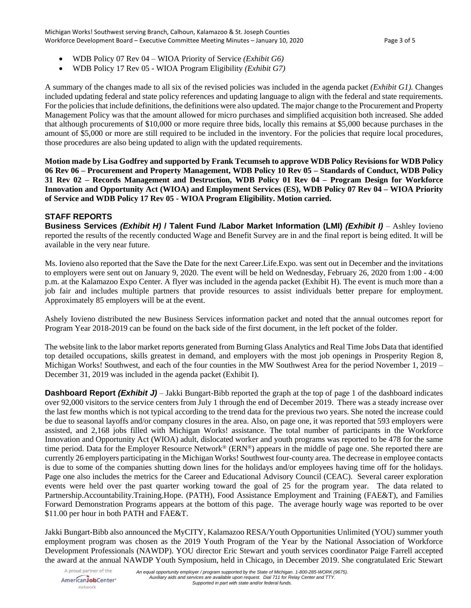Michigan Works! Southwest serving Branch, Calhoun, Kalamazoo & St. Joseph Counties Workforce Development Board – Executive Committee Meeting Minutes – January 10, 2020 Page 3 of 5

- WDB Policy 07 Rev 04 WIOA Priority of Service *(Exhibit G6)*
- WDB Policy 17 Rev 05 WIOA Program Eligibility *(Exhibit G7)*

A summary of the changes made to all six of the revised policies was included in the agenda packet *(Exhibit G1).* Changes included updating federal and state policy references and updating language to align with the federal and state requirements. For the policies that include definitions, the definitions were also updated. The major change to the Procurement and Property Management Policy was that the amount allowed for micro purchases and simplified acquisition both increased. She added that although procurements of \$10,000 or more require three bids, locally this remains at \$5,000 because purchases in the amount of \$5,000 or more are still required to be included in the inventory. For the policies that require local procedures, those procedures are also being updated to align with the updated requirements.

**Motion made by Lisa Godfrey and supported by Frank Tecumseh to approve WDB Policy Revisions for WDB Policy 06 Rev 06 – Procurement and Property Management, WDB Policy 10 Rev 05 – Standards of Conduct, WDB Policy 31 Rev 02 – Records Management and Destruction, WDB Policy 01 Rev 04 – Program Design for Workforce Innovation and Opportunity Act (WIOA) and Employment Services (ES), WDB Policy 07 Rev 04 – WIOA Priority of Service and WDB Policy 17 Rev 05 - WIOA Program Eligibility. Motion carried.** 

## **STAFF REPORTS**

**Business Services** *(Exhibit H)* **/ Talent Fund /Labor Market Information (LMI)** *(Exhibit I)* – Ashley Iovieno reported the results of the recently conducted Wage and Benefit Survey are in and the final report is being edited. It will be available in the very near future.

Ms. Iovieno also reported that the Save the Date for the next Career.Life.Expo. was sent out in December and the invitations to employers were sent out on January 9, 2020. The event will be held on Wednesday, February 26, 2020 from 1:00 - 4:00 p.m. at the Kalamazoo Expo Center. A flyer was included in the agenda packet (Exhibit H). The event is much more than a job fair and includes multiple partners that provide resources to assist individuals better prepare for employment. Approximately 85 employers will be at the event.

Ashely Iovieno distributed the new Business Services information packet and noted that the annual outcomes report for Program Year 2018-2019 can be found on the back side of the first document, in the left pocket of the folder.

The website link to the labor market reports generated from Burning Glass Analytics and Real Time Jobs Data that identified top detailed occupations, skills greatest in demand, and employers with the most job openings in Prosperity Region 8, Michigan Works! Southwest, and each of the four counties in the MW Southwest Area for the period November 1, 2019 – December 31, 2019 was included in the agenda packet (Exhibit I).

**Dashboard Report** *(Exhibit J)* – Jakki Bungart-Bibb reported the graph at the top of page 1 of the dashboard indicates over 92,000 visitors to the service centers from July 1 through the end of December 2019. There was a steady increase over the last few months which is not typical according to the trend data for the previous two years. She noted the increase could be due to seasonal layoffs and/or company closures in the area. Also, on page one, it was reported that 593 employers were assisted, and 2,168 jobs filled with Michigan Works! assistance. The total number of participants in the Workforce Innovation and Opportunity Act (WIOA) adult, dislocated worker and youth programs was reported to be 478 for the same time period. Data for the Employer Resource Network® (ERN®) appears in the middle of page one. She reported there are currently 26 employers participating in the Michigan Works! Southwest four-county area. The decrease in employee contacts is due to some of the companies shutting down lines for the holidays and/or employees having time off for the holidays. Page one also includes the metrics for the Career and Educational Advisory Council (CEAC). Several career exploration events were held over the past quarter working toward the goal of 25 for the program year. The data related to Partnership.Accountability.Training.Hope. (PATH), Food Assistance Employment and Training (FAE&T), and Families Forward Demonstration Programs appears at the bottom of this page. The average hourly wage was reported to be over \$11.00 per hour in both PATH and FAE&T.

Jakki Bungart-Bibb also announced the MyCITY, Kalamazoo RESA/Youth Opportunities Unlimited (YOU) summer youth employment program was chosen as the 2019 Youth Program of the Year by the National Association of Workforce Development Professionals (NAWDP). YOU director Eric Stewart and youth services coordinator Paige Farrell accepted the award at the annual NAWDP Youth Symposium, held in Chicago, in December 2019. She congratulated Eric Stewart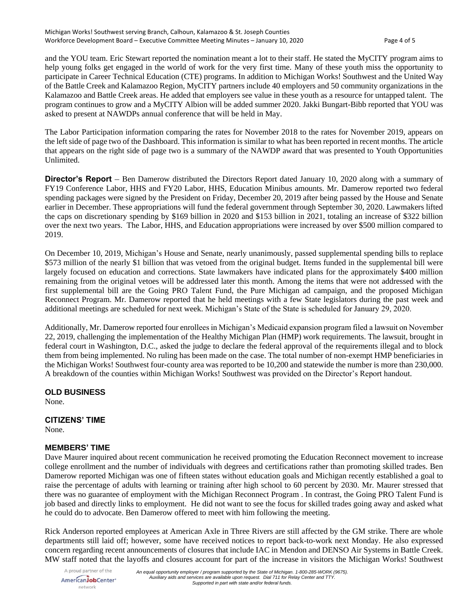and the YOU team. Eric Stewart reported the nomination meant a lot to their staff. He stated the MyCITY program aims to help young folks get engaged in the world of work for the very first time. Many of these youth miss the opportunity to participate in Career Technical Education (CTE) programs. In addition to Michigan Works! Southwest and the United Way of the Battle Creek and Kalamazoo Region, MyCITY partners include 40 employers and 50 community organizations in the Kalamazoo and Battle Creek areas. He added that employers see value in these youth as a resource for untapped talent. The program continues to grow and a MyCITY Albion will be added summer 2020. Jakki Bungart-Bibb reported that YOU was asked to present at NAWDPs annual conference that will be held in May.

The Labor Participation information comparing the rates for November 2018 to the rates for November 2019, appears on the left side of page two of the Dashboard. This information is similar to what has been reported in recent months. The article that appears on the right side of page two is a summary of the NAWDP award that was presented to Youth Opportunities Unlimited.

**Director's Report** – Ben Damerow distributed the Directors Report dated January 10, 2020 along with a summary of FY19 Conference Labor, HHS and FY20 Labor, HHS, Education Minibus amounts. Mr. Damerow reported two federal spending packages were signed by the President on Friday, December 20, 2019 after being passed by the House and Senate earlier in December. These appropriations will fund the federal government through September 30, 2020. Lawmakers lifted the caps on discretionary spending by \$169 billion in 2020 and \$153 billion in 2021, totaling an increase of \$322 billion over the next two years. The Labor, HHS, and Education appropriations were increased by over \$500 million compared to 2019.

On December 10, 2019, Michigan's House and Senate, nearly unanimously, passed supplemental spending bills to replace \$573 million of the nearly \$1 billion that was vetoed from the original budget. Items funded in the supplemental bill were largely focused on education and corrections. State lawmakers have indicated plans for the approximately \$400 million remaining from the original vetoes will be addressed later this month. Among the items that were not addressed with the first supplemental bill are the Going PRO Talent Fund, the Pure Michigan ad campaign, and the proposed Michigan Reconnect Program. Mr. Damerow reported that he held meetings with a few State legislators during the past week and additional meetings are scheduled for next week. Michigan's State of the State is scheduled for January 29, 2020.

Additionally, Mr. Damerow reported four enrollees in Michigan's Medicaid expansion program filed a lawsuit on November 22, 2019, challenging the implementation of the Healthy Michigan Plan (HMP) work requirements. The lawsuit, brought in federal court in Washington, D.C., asked the judge to declare the federal approval of the requirements illegal and to block them from being implemented. No ruling has been made on the case. The total number of non-exempt HMP beneficiaries in the Michigan Works! Southwest four-county area was reported to be 10,200 and statewide the number is more than 230,000. A breakdown of the counties within Michigan Works! Southwest was provided on the Director's Report handout.

## **OLD BUSINESS**

None.

## **CITIZENS' TIME**

None.

## **MEMBERS' TIME**

Dave Maurer inquired about recent communication he received promoting the Education Reconnect movement to increase college enrollment and the number of individuals with degrees and certifications rather than promoting skilled trades. Ben Damerow reported Michigan was one of fifteen states without education goals and Michigan recently established a goal to raise the percentage of adults with learning or training after high school to 60 percent by 2030. Mr. Maurer stressed that there was no guarantee of employment with the Michigan Reconnect Program . In contrast, the Going PRO Talent Fund is job based and directly links to employment. He did not want to see the focus for skilled trades going away and asked what he could do to advocate. Ben Damerow offered to meet with him following the meeting.

Rick Anderson reported employees at American Axle in Three Rivers are still affected by the GM strike. There are whole departments still laid off; however, some have received notices to report back-to-work next Monday. He also expressed concern regarding recent announcements of closures that include IAC in Mendon and DENSO Air Systems in Battle Creek. MW staff noted that the layoffs and closures account for part of the increase in visitors the Michigan Works! Southwest